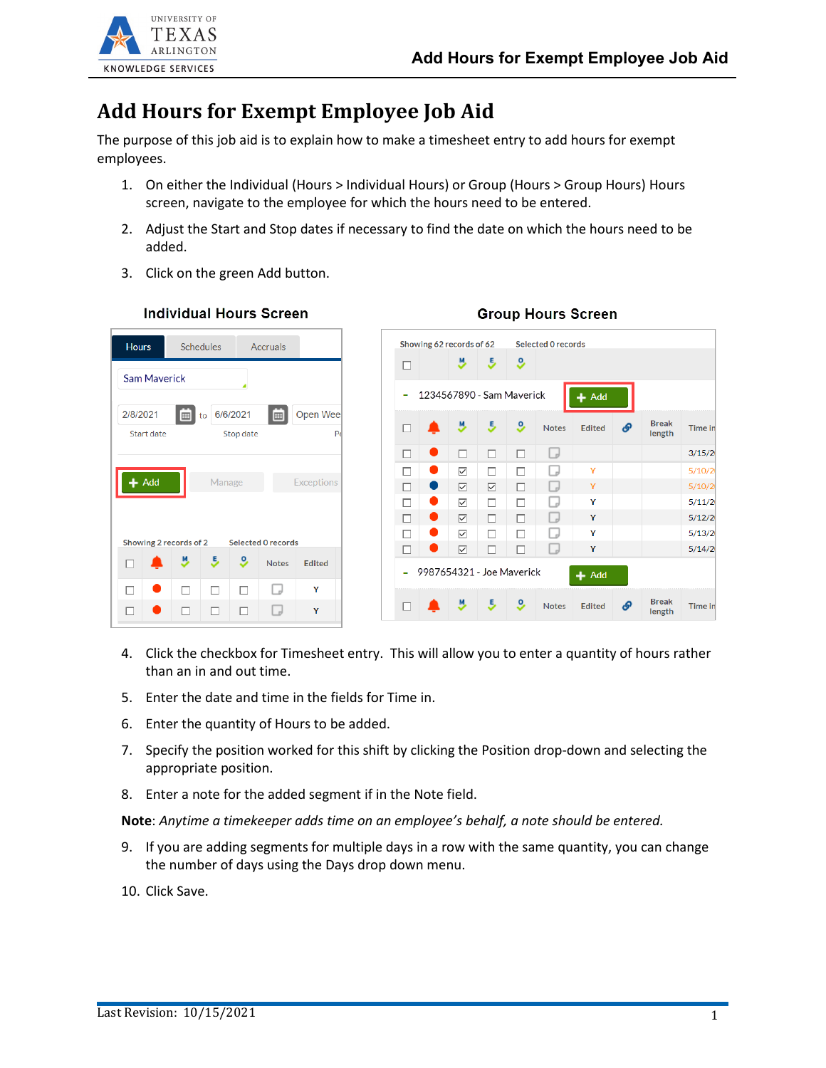**Group Hours Screen** 



## **Add Hours for Exempt Employee Job Aid**

The purpose of this job aid is to explain how to make a timesheet entry to add hours for exempt employees.

- 1. On either the Individual (Hours > Individual Hours) or Group (Hours > Group Hours) Hours screen, navigate to the employee for which the hours need to be entered.
- 2. Adjust the Start and Stop dates if necessary to find the date on which the hours need to be added.
- 3. Click on the green Add button.



## **Individual Hours Screen**

- 4. Click the checkbox for Timesheet entry. This will allow you to enter a quantity of hours rather than an in and out time.
- 5. Enter the date and time in the fields for Time in.
- 6. Enter the quantity of Hours to be added.
- 7. Specify the position worked for this shift by clicking the Position drop-down and selecting the appropriate position.
- 8. Enter a note for the added segment if in the Note field.

**Note**: *Anytime a timekeeper adds time on an employee's behalf, a note should be entered.*

- 9. If you are adding segments for multiple days in a row with the same quantity, you can change the number of days using the Days drop down menu.
- 10. Click Save.